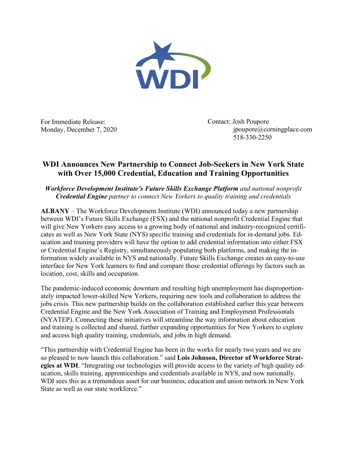

For Immediate Release: Monday, December 7, 2020 Contact: Josh Poupore jpoupore@corningplace.com 518-330-2250

## **WDI Announces New Partnership to Connect Job-Seekers in New York State with Over 15,000 Credential, Education and Training Opportunities**

*Workforce Development Institute's Future Skills Exchange Platform and national nonprofit Credential Engine partner to connect New Yorkers to quality training and credentials*

**ALBANY** – The Workforce Development Institute (WDI) announced today a new partnership between WDI's Future Skills Exchange (FSX) and the national nonprofit Credential Engine that will give New Yorkers easy access to a growing body of national and industry-recognized certificates as well as New York State (NYS) specific training and credentials for in-demand jobs. Education and training providers will have the option to add credential information into either FSX or Credential Engine's Registry, simultaneously populating both platforms, and making the information widely available in NYS and nationally. Future Skills Exchange creates an easy-to-use interface for New York learners to find and compare those credential offerings by factors such as location, cost, skills and occupation.

The pandemic-induced economic downturn and resulting high unemployment has disproportionately impacted lower-skilled New Yorkers, requiring new tools and collaboration to address the jobs crisis. This new partnership builds on the collaboration established earlier this year between Credential Engine and the New York Association of Training and Employment Professionals (NYATEP). Connecting these initiatives will streamline the way information about education and training is collected and shared, further expanding opportunities for New Yorkers to explore and access high quality training, credentials, and jobs in high demand.

"This partnership with Credential Engine has been in the works for nearly two years and we are so pleased to now launch this collaboration." said **Lois Johnson, Director of Workforce Strategies at WDI**. "Integrating our technologies will provide access to the variety of high quality education, skills training, apprenticeships and credentials available in NYS, and now nationally. WDI sees this as a tremendous asset for our business, education and union network in New York State as well as our state workforce."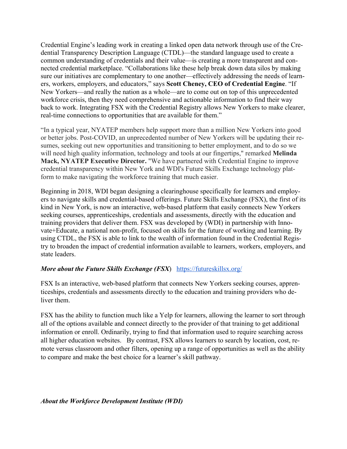Credential Engine's leading work in creating a linked open data network through use of the Credential Transparency Description Language (CTDL)—the standard language used to create a common understanding of credentials and their value—is creating a more transparent and connected credential marketplace. "Collaborations like these help break down data silos by making sure our initiatives are complementary to one another—effectively addressing the needs of learners, workers, employers, and educators," says **Scott Cheney, CEO of Credential Engine**. "If New Yorkers—and really the nation as a whole—are to come out on top of this unprecedented workforce crisis, then they need comprehensive and actionable information to find their way back to work. Integrating FSX with the Credential Registry allows New Yorkers to make clearer, real-time connections to opportunities that are available for them."

"In a typical year, NYATEP members help support more than a million New Yorkers into good or better jobs. Post-COVID, an unprecedented number of New Yorkers will be updating their resumes, seeking out new opportunities and transitioning to better employment, and to do so we will need high quality information, technology and tools at our fingertips," remarked **Melinda Mack, NYATEP Executive Director.** "We have partnered with Credential Engine to improve credential transparency within New York and WDI's Future Skills Exchange technology platform to make navigating the workforce training that much easier.

Beginning in 2018, WDI began designing a clearinghouse specifically for learners and employers to navigate skills and credential-based offerings. Future Skills Exchange (FSX), the first of its kind in New York, is now an interactive, web-based platform that easily connects New Yorkers seeking courses, apprenticeships, credentials and assessments, directly with the education and training providers that deliver them. FSX was developed by (WDI) in partnership with Innovate+Educate, a national non-profit, focused on skills for the future of working and learning. By using CTDL, the FSX is able to link to the wealth of information found in the Credential Registry to broaden the impact of credential information available to learners, workers, employers, and state leaders.

## *More about the Future Skills Exchange (FSX*) https://futureskillsx.org/

FSX Is an interactive, web-based platform that connects New Yorkers seeking courses, apprenticeships, credentials and assessments directly to the education and training providers who deliver them.

FSX has the ability to function much like a Yelp for learners, allowing the learner to sort through all of the options available and connect directly to the provider of that training to get additional information or enroll. Ordinarily, trying to find that information used to require searching across all higher education websites. By contrast, FSX allows learners to search by location, cost, remote versus classroom and other filters, opening up a range of opportunities as well as the ability to compare and make the best choice for a learner's skill pathway.

## *About the Workforce Development Institute (WDI)*